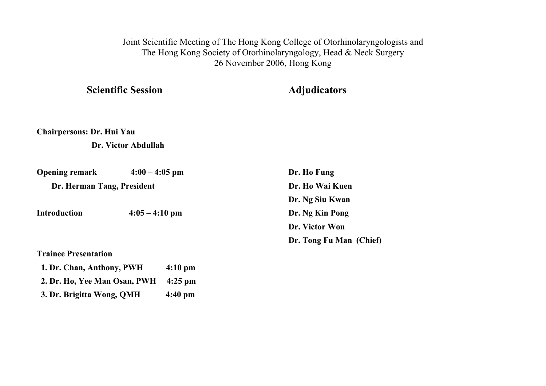Joint Scientific Meeting of The Hong Kong College of Otorhinolaryngologists and The Hong Kong Society of Otorhinolaryngology, Head & Neck Surgery 26 November 2006, Hong Kong

**Scientific Session Adjudicators** 

**Chairpersons: Dr. Hui Yau** 

 **Dr. Victor Abdullah** 

 **1. Dr. Chan, Anthony, PWH 4:10 pm** 

 **2. Dr. Ho, Yee Man Osan, PWH 4:25 pm** 

 **3. Dr. Brigitta Wong, QMH 4:40 pm** 

| <b>Opening remark</b>       | $4:00 - 4:05$ pm | Dr. Ho Fung             |
|-----------------------------|------------------|-------------------------|
| Dr. Herman Tang, President  |                  | Dr. Ho Wai Kuen         |
|                             |                  | Dr. Ng Siu Kwan         |
| <b>Introduction</b>         | $4:05 - 4:10$ pm | Dr. Ng Kin Pong         |
|                             |                  | Dr. Victor Won          |
|                             |                  | Dr. Tong Fu Man (Chief) |
| <b>Trainee Presentation</b> |                  |                         |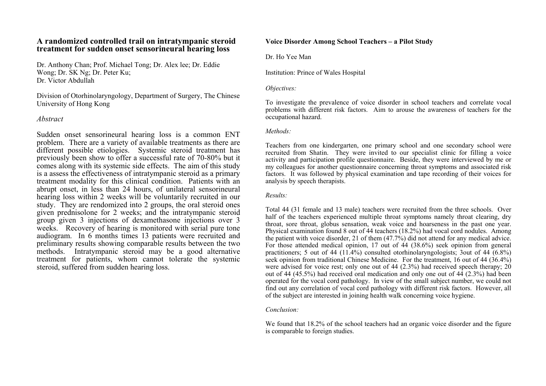### **A randomized controlled trail on intratympanic steroid treatment for sudden onset sensorineural hearing loss**

Dr. Anthony Chan; Prof. Michael Tong; Dr. Alex lee; Dr. Eddie Wong; Dr. SK Ng; Dr. Peter Ku; Dr. Victor Abdullah

Division of Otorhinolaryngology, Department of Surgery, The Chinese University of Hong Kong

### *Abstract*

Sudden onset sensorineural hearing loss is a common ENT problem. There are a variety of available treatments as there are different possible etiologies. Systemic steroid treatment has previously been show to offer a successful rate of 70-80% but it comes along with its systemic side effects. The aim of this study is a assess the effectiveness of intratympanic steroid as a primary treatment modality for this clinical condition. Patients with an abrupt onset, in less than 24 hours, of unilateral sensorineural hearing loss within 2 weeks will be voluntarily recruited in our study. They are rendomized into 2 groups, the oral steroid ones given prednisolone for 2 weeks; and the intratympanic steroid group given 3 injections of dexamethasone injections over 3 weeks. Recovery of hearing is monitored with serial pure tone audiogram. In 6 months times 13 patients were recruited and preliminary results showing comparable results between the two methods. Intratympanic steroid may be a good alternative treatment for patients, whom cannot tolerate the systemic steroid, suffered from sudden hearing loss.

#### **Voice Disorder Among School Teachers – a Pilot Study**

Dr. Ho Yee Man

Institution: Prince of Wales Hospital

#### *Objectives:*

To investigate the prevalence of voice disorder in school teachers and correlate vocal problems with different risk factors. Aim to arouse the awareness of teachers for the occupational hazard.

#### *Methods:*

Teachers from one kindergarten, one primary school and one secondary school were recruited from Shatin. They were invited to our specialist clinic for filling a voice activity and participation profile questionnaire. Beside, they were interviewed by me or my colleagues for another questionnaire concerning throat symptoms and associated risk factors. It was followed by physical examination and tape recording of their voices for analysis by speech therapists.

#### *Results:*

Total 44 (31 female and 13 male) teachers were recruited from the three schools. Over half of the teachers experienced multiple throat symptoms namely throat clearing, dry throat, sore throat, globus sensation, weak voice and hoarseness in the past one year. Physical examination found 8 out of 44 teachers (18.2%) had vocal cord nodules. Among the patient with voice disorder, 21 of them (47.7%) did not attend for any medical advice. For those attended medical opinion, 17 out of 44 (38.6%) seek opinion from general practitioners; 5 out of 44 (11.4%) consulted otorhinolaryngologists; 3out of 44 (6.8%) seek opinion from traditional Chinese Medicine. For the treatment, 16 out of 44 (36.4%) were advised for voice rest; only one out of 44 (2.3%) had received speech therapy; 20 out of 44  $(45.5\%)$  had received oral medication and only one out of  $44$   $(2.3\%)$  had been operated for the vocal cord pathology. In view of the small subject number, we could not find out any correlation of vocal cord pathology with different risk factors. However, all of the subject are interested in joining health walk concerning voice hygiene.

#### *Conclusion:*

We found that 18.2% of the school teachers had an organic voice disorder and the figure is comparable to foreign studies.